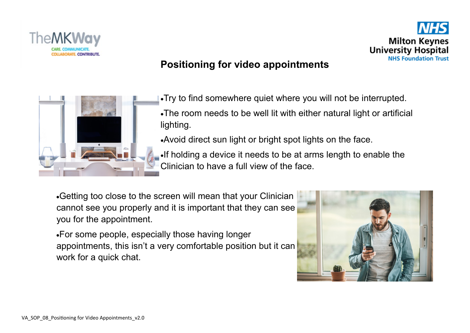



## **Positioning for video appointments**



Try to find somewhere quiet where you will not be interrupted.

The room needs to be well lit with either natural light or artificial lighting.

Avoid direct sun light or bright spot lights on the face.

If holding a device it needs to be at arms length to enable the Clinician to have a full view of the face.

Getting too close to the screen will mean that your Clinician cannot see you properly and it is important that they can see you for the appointment.

For some people, especially those having longer appointments, this isn't a very comfortable position but it can work for a quick chat.

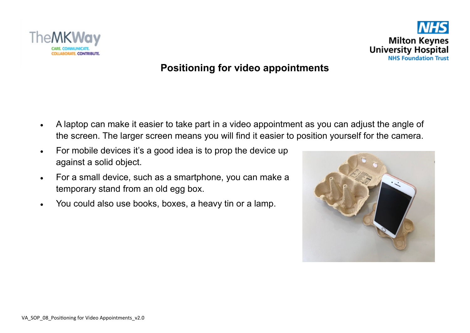



### **Positioning for video appointments**

- A laptop can make it easier to take part in a video appointment as you can adjust the angle of the screen. The larger screen means you will find it easier to position yourself for the camera.
- For mobile devices it's a good idea is to prop the device up against a solid object.
- For a small device, such as a smartphone, you can make a temporary stand from an old egg box.
- You could also use books, boxes, a heavy tin or a lamp.

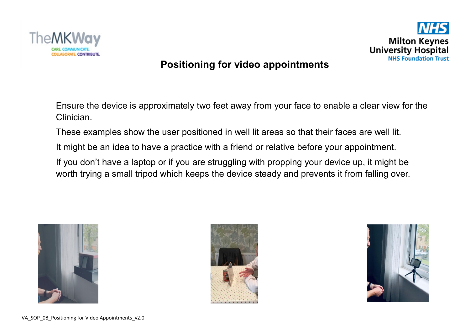

# **Milton Keynes University Hospital NHS Foundation Trust**

### **Positioning for video appointments**

Ensure the device is approximately two feet away from your face to enable a clear view for the Clinician.

These examples show the user positioned in well lit areas so that their faces are well lit.

It might be an idea to have a practice with a friend or relative before your appointment.

If you don't have a laptop or if you are struggling with propping your device up, it might be worth trying a small tripod which keeps the device steady and prevents it from falling over.